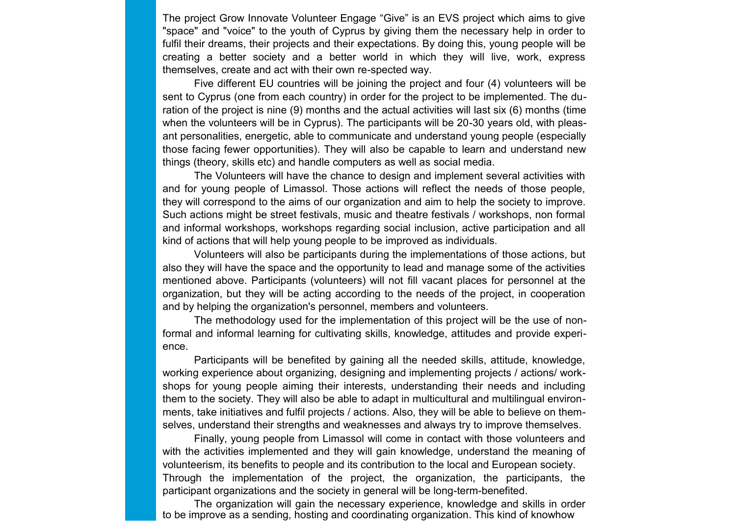The project Grow Innovate Volunteer Engage "Give" is an EVS project which aims to give "space" and "voice" to the youth of Cyprus by giving them the necessary help in order to fulfil their dreams, their projects and their expectations. By doing this, young people will be creating a better society and a better world in which they will live, work, express themselves, create and act with their own re-spected way.

Five different EU countries will be joining the project and four (4) volunteers will be sent to Cyprus (one from each country) in order for the project to be implemented. The duration of the project is nine (9) months and the actual activities will last six (6) months (time when the volunteers will be in Cyprus). The participants will be 20-30 years old, with pleasant personalities, energetic, able to communicate and understand young people (especially those facing fewer opportunities). They will also be capable to learn and understand new things (theory, skills etc) and handle computers as well as social media.

The Volunteers will have the chance to design and implement several activities with and for young people of Limassol. Those actions will reflect the needs of those people, they will correspond to the aims of our organization and aim to help the society to improve. Such actions might be street festivals, music and theatre festivals / workshops, non formal and informal workshops, workshops regarding social inclusion, active participation and all kind of actions that will help young people to be improved as individuals.

Volunteers will also be participants during the implementations of those actions, but also they will have the space and the opportunity to lead and manage some of the activities mentioned above. Participants (volunteers) will not fill vacant places for personnel at the organization, but they will be acting according to the needs of the project, in cooperation and by helping the organization's personnel, members and volunteers.

The methodology used for the implementation of this project will be the use of nonformal and informal learning for cultivating skills, knowledge, attitudes and provide experience.

Participants will be benefited by gaining all the needed skills, attitude, knowledge, working experience about organizing, designing and implementing projects / actions/ workshops for young people aiming their interests, understanding their needs and including them to the society. They will also be able to adapt in multicultural and multilingual environments, take initiatives and fulfil projects / actions. Also, they will be able to believe on themselves, understand their strengths and weaknesses and always try to improve themselves.

Finally, young people from Limassol will come in contact with those volunteers and with the activities implemented and they will gain knowledge, understand the meaning of volunteerism, its benefits to people and its contribution to the local and European society. Through the implementation of the project, the organization, the participants, the participant organizations and the society in general will be long-term-benefited.

The organization will gain the necessary experience, knowledge and skills in order to be improve as a sending, hosting and coordinating organization. This kind of knowhow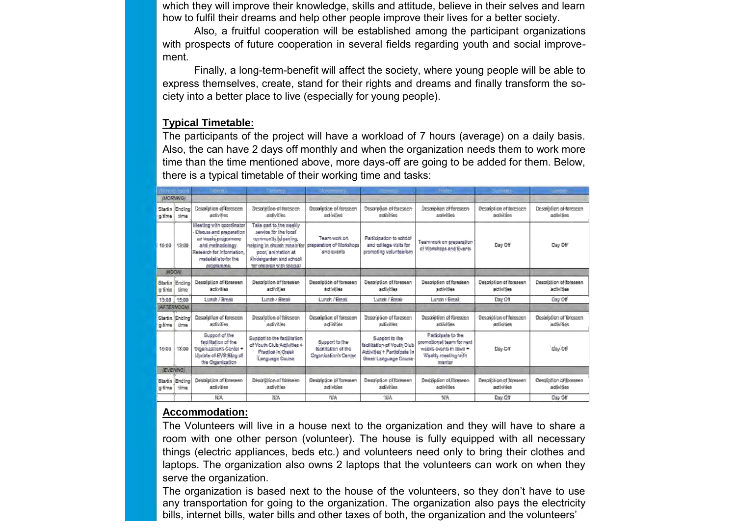which they will improve their knowledge, skills and attitude, believe in their selves and learn how to fulfil their dreams and help other people improve their lives for a better society.

Also, a fruitful cooperation will be established among the participant organizations with prospects of future cooperation in several fields regarding youth and social improvement.

Finally, a long-term-benefit will affect the society, where young people will be able to express themselves, create, stand for their rights and dreams and finally transform the society into a better place to live (especially for young people).

#### **Typical Timetable:**

The participants of the project will have a workload of 7 hours (average) on a daily basis. Also, the can have 2 days off monthly and when the organization needs them to work more time than the time mentioned above, more days-off are going to be added for them. Below, there is a typical timetable of their working time and tasks:

|                   | Service Reserve    | <b><i>Company</i></b>                                                                                                                                            | <b>Contract Contract</b>                                                                                                                                                              | the factor and the                                                    | the company of the company of                                                                       | <b>Bullet</b>                                                                                               | Selection of                          | <b>Continued in the Continued Inc.</b> |
|-------------------|--------------------|------------------------------------------------------------------------------------------------------------------------------------------------------------------|---------------------------------------------------------------------------------------------------------------------------------------------------------------------------------------|-----------------------------------------------------------------------|-----------------------------------------------------------------------------------------------------|-------------------------------------------------------------------------------------------------------------|---------------------------------------|----------------------------------------|
| (MORNING)         |                    |                                                                                                                                                                  |                                                                                                                                                                                       |                                                                       |                                                                                                     |                                                                                                             |                                       |                                        |
| Startin<br>a time | Ending<br>time.    | Description of foreseen<br>activities                                                                                                                            | Description of foreseen<br>activities.                                                                                                                                                | Description of foreseen<br>activities                                 | Description of foreseen<br>activities                                                               | Description of foreseen<br>activities                                                                       | Description of foreseen<br>activities | Description of foreseen<br>activities  |
| 10:00             | 13:00              | Meeting with coordinator<br>Discuss and preparation<br>on weeks programme<br>and methodology.<br>Research for information.<br>material ato for the<br>programme. | Take part to the weekly<br>service for the local<br>community (cleaning,<br>helping in church meals for<br>poor, animation at<br>kindergarden and school<br>for children with special | Team work on<br>preparation of Workshops<br>and events                | Participation to school<br>and college visits for<br>promoting volunteerism                         | Team work on preparation<br>of Workshops and Events                                                         | Day Off                               | Day Off                                |
| <b>INDOW</b>      |                    |                                                                                                                                                                  |                                                                                                                                                                                       |                                                                       |                                                                                                     |                                                                                                             |                                       |                                        |
| Startin<br>g time | Endina<br>time     | Description of foreseen<br>activities                                                                                                                            | Description of foreseen<br>activities.                                                                                                                                                | Description of foreseen<br>adivities                                  | Description of foreseen<br>activities                                                               | Description of foreseen<br>sotivities                                                                       | Description of foreseen<br>activities | Description of foreseen<br>activities  |
| 13:00             | 15:00              | Lunch / Break                                                                                                                                                    | Lunch / Break                                                                                                                                                                         | Lunch / Break                                                         | Lunch / Break                                                                                       | Lunch / Break                                                                                               | Day Off                               | Day Off                                |
|                   | <b>(AFTERNOON)</b> |                                                                                                                                                                  |                                                                                                                                                                                       |                                                                       |                                                                                                     |                                                                                                             |                                       |                                        |
| Startin<br>g time | Ending<br>time     | Description of foreseen<br>activities                                                                                                                            | Desatption of foreseen<br>activities                                                                                                                                                  | Description of foreseen<br>activities                                 | Description of foreseen<br>activities                                                               | Description of foreseen<br>activities                                                                       | Description of foreseen<br>adivities  | Description of foreseen<br>activities  |
| 15:00             | 18:00              | Support of the<br>facilitation of the<br>Organization's Center +<br>Update of EVS Blog of<br>the Organization                                                    | Support to the facilitation<br>of Youth Club Activities +<br>Practice in Greek<br>Language Course                                                                                     | Support to the<br>facilitation of the<br><b>Organization's Center</b> | Support to the<br>facilitation of Youth Club<br>Adivities + Participate in<br>Greek Language Course | Participate to the<br>cromotional team for next<br>week's events in town +<br>Weekly meeting with<br>mentor | $D_{\rm BV}$ Off                      | Day Off                                |
| (EVENING)         |                    |                                                                                                                                                                  |                                                                                                                                                                                       |                                                                       |                                                                                                     |                                                                                                             |                                       |                                        |
| Startin<br>s time | Ending<br>time     | Description of foreseen<br>activities                                                                                                                            | Description of foreseen<br>activities                                                                                                                                                 | Description of foreseen<br>adivities                                  | Description of foreseen<br>activities                                                               | Description of foreseen<br>activities                                                                       | Description of foreseen<br>activities | Description of foreseen<br>activities  |
|                   |                    | NA                                                                                                                                                               | <b>NIA</b>                                                                                                                                                                            | 捕杀                                                                    | NA                                                                                                  | NIA                                                                                                         | Day Off                               | Day Off                                |

#### **Accommodation:**

The Volunteers will live in a house next to the organization and they will have to share a room with one other person (volunteer). The house is fully equipped with all necessary things (electric appliances, beds etc.) and volunteers need only to bring their clothes and laptops. The organization also owns 2 laptops that the volunteers can work on when they serve the organization.

The organization is based next to the house of the volunteers, so they don't have to use any transportation for going to the organization. The organization also pays the electricity bills, internet bills, water bills and other taxes of both, the organization and the volunteers'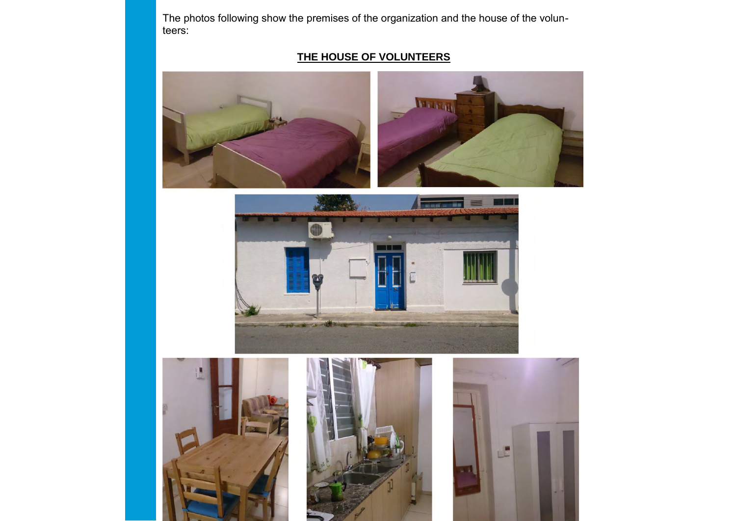The photos following show the premises of the organization and the house of the volunteers:

# **THE HOUSE OF VOLUNTEERS**





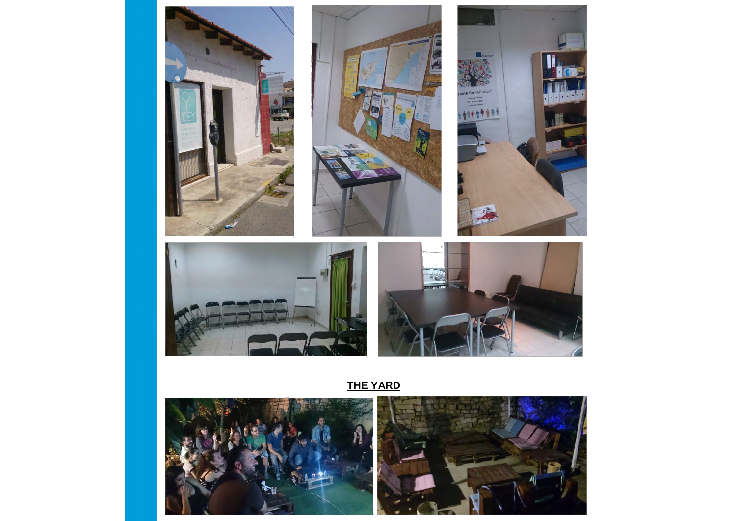